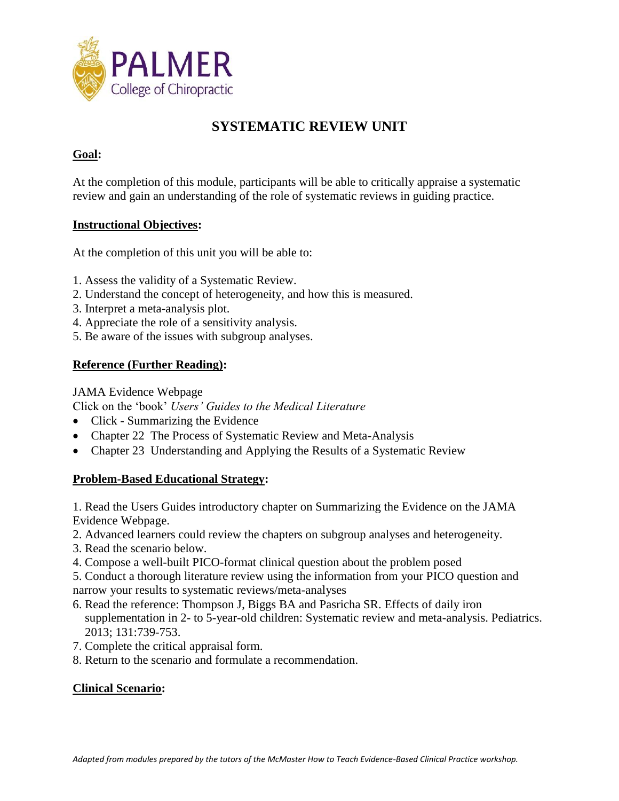

# **SYSTEMATIC REVIEW UNIT**

## **Goal:**

At the completion of this module, participants will be able to critically appraise a systematic review and gain an understanding of the role of systematic reviews in guiding practice.

#### **Instructional Objectives:**

At the completion of this unit you will be able to:

- 1. Assess the validity of a Systematic Review.
- 2. Understand the concept of heterogeneity, and how this is measured.
- 3. Interpret a meta-analysis plot.
- 4. Appreciate the role of a sensitivity analysis.
- 5. Be aware of the issues with subgroup analyses.

### **Reference (Further Reading):**

#### JAMA Evidence Webpage

Click on the 'book' *Users' Guides to the Medical Literature*

- Click Summarizing the Evidence
- Chapter 22 The Process of Systematic Review and Meta-Analysis
- Chapter 23 Understanding and Applying the Results of a Systematic Review

### **Problem-Based Educational Strategy:**

1. Read the Users Guides introductory chapter on Summarizing the Evidence on the JAMA Evidence Webpage.

- 2. Advanced learners could review the chapters on subgroup analyses and heterogeneity.
- 3. Read the scenario below.
- 4. Compose a well-built PICO-format clinical question about the problem posed

5. Conduct a thorough literature review using the information from your PICO question and narrow your results to systematic reviews/meta-analyses

- 6. Read the reference: Thompson J, Biggs BA and Pasricha SR. Effects of daily iron supplementation in 2- to 5-year-old children: Systematic review and meta-analysis. Pediatrics. 2013; 131:739-753.
- 7. Complete the critical appraisal form.
- 8. Return to the scenario and formulate a recommendation.

### **Clinical Scenario:**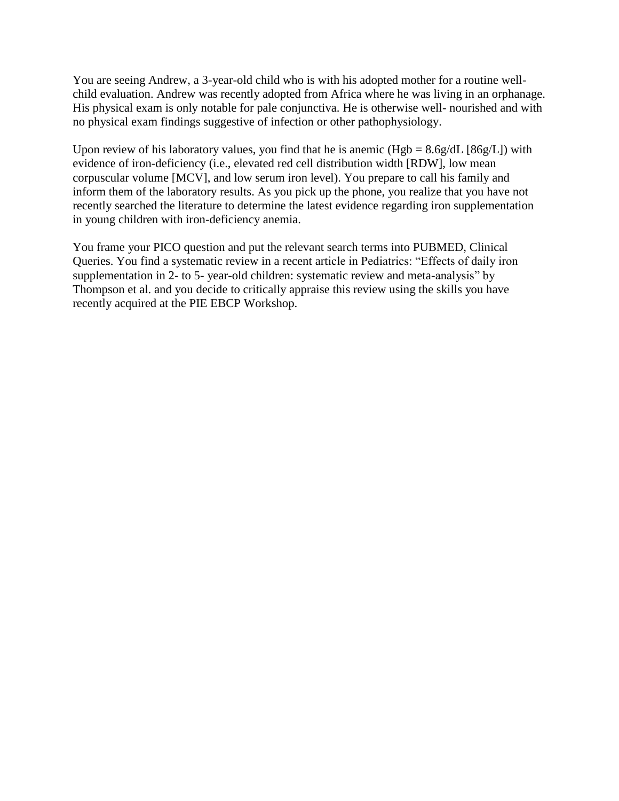You are seeing Andrew, a 3-year-old child who is with his adopted mother for a routine wellchild evaluation. Andrew was recently adopted from Africa where he was living in an orphanage. His physical exam is only notable for pale conjunctiva. He is otherwise well- nourished and with no physical exam findings suggestive of infection or other pathophysiology.

Upon review of his laboratory values, you find that he is anemic  $(Hgb = 8.6g/dL [86g/L])$  with evidence of iron-deficiency (i.e., elevated red cell distribution width [RDW], low mean corpuscular volume [MCV], and low serum iron level). You prepare to call his family and inform them of the laboratory results. As you pick up the phone, you realize that you have not recently searched the literature to determine the latest evidence regarding iron supplementation in young children with iron-deficiency anemia.

You frame your PICO question and put the relevant search terms into PUBMED, Clinical Queries. You find a systematic review in a recent article in Pediatrics: "Effects of daily iron supplementation in 2- to 5- year-old children: systematic review and meta-analysis" by Thompson et al. and you decide to critically appraise this review using the skills you have recently acquired at the PIE EBCP Workshop.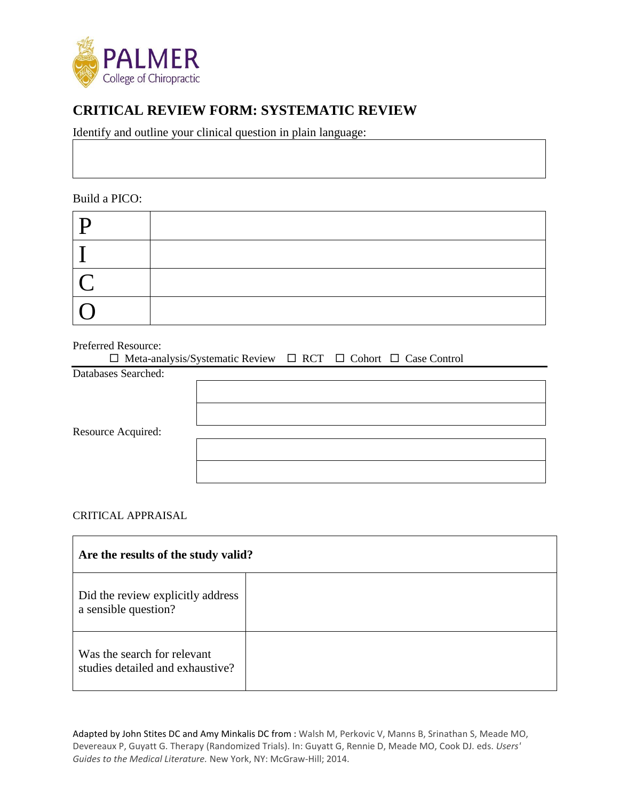

# **CRITICAL REVIEW FORM: SYSTEMATIC REVIEW**

Identify and outline your clinical question in plain language:

Build a PICO:

| $\Gamma$ |  |
|----------|--|
|          |  |
|          |  |
|          |  |

Preferred Resource:

| $\Box$ Meta-analysis/Systematic Review $\Box$ RCT $\Box$ Cohort $\Box$ Case Control |  |  |  |
|-------------------------------------------------------------------------------------|--|--|--|
| Databases Searched:                                                                 |  |  |  |
|                                                                                     |  |  |  |
|                                                                                     |  |  |  |
|                                                                                     |  |  |  |
| Resource Acquired:                                                                  |  |  |  |
|                                                                                     |  |  |  |
|                                                                                     |  |  |  |
|                                                                                     |  |  |  |
|                                                                                     |  |  |  |

CRITICAL APPRAISAL

| Are the results of the study valid?                             |  |  |
|-----------------------------------------------------------------|--|--|
| Did the review explicitly address<br>a sensible question?       |  |  |
| Was the search for relevant<br>studies detailed and exhaustive? |  |  |

Adapted by John Stites DC and Amy Minkalis DC from : Walsh M, Perkovic V, Manns B, Srinathan S, Meade MO, Devereaux P, Guyatt G. Therapy (Randomized Trials). In: Guyatt G, Rennie D, Meade MO, Cook DJ. eds. *Users' Guides to the Medical Literature.* New York, NY: McGraw-Hill; 2014.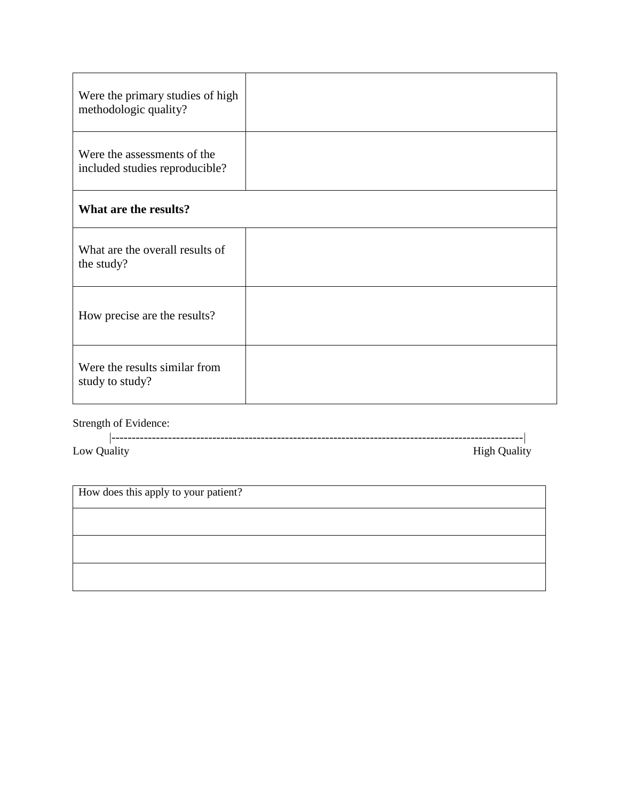| Were the primary studies of high<br>methodologic quality?     |  |  |
|---------------------------------------------------------------|--|--|
| Were the assessments of the<br>included studies reproducible? |  |  |
| What are the results?                                         |  |  |
| What are the overall results of<br>the study?                 |  |  |
| How precise are the results?                                  |  |  |
| Were the results similar from<br>study to study?              |  |  |

Strength of Evidence:

|          | . | --------------<br>-------------- | . _ _ _ _ _ _ _ |
|----------|---|----------------------------------|-----------------|
| -<br>Low |   |                                  | $\ldots$<br>. . |

How does this apply to your patient?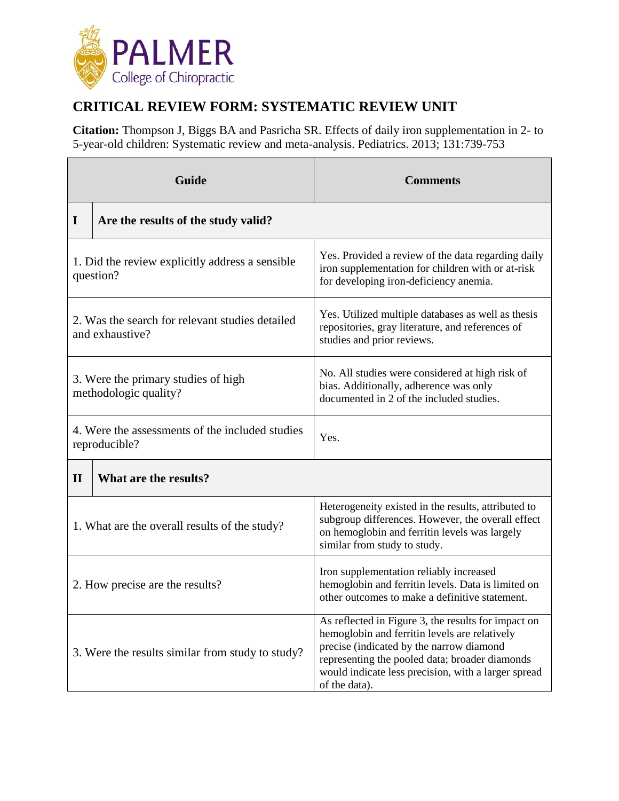

# **CRITICAL REVIEW FORM: SYSTEMATIC REVIEW UNIT**

**Citation:** Thompson J, Biggs BA and Pasricha SR. Effects of daily iron supplementation in 2- to 5-year-old children: Systematic review and meta-analysis. Pediatrics. 2013; 131:739-753

| Guide                                                              |                                     | <b>Comments</b>                                                                                                                                                                                                                                                            |  |
|--------------------------------------------------------------------|-------------------------------------|----------------------------------------------------------------------------------------------------------------------------------------------------------------------------------------------------------------------------------------------------------------------------|--|
| $\mathbf I$                                                        | Are the results of the study valid? |                                                                                                                                                                                                                                                                            |  |
| 1. Did the review explicitly address a sensible<br>question?       |                                     | Yes. Provided a review of the data regarding daily<br>iron supplementation for children with or at-risk<br>for developing iron-deficiency anemia.                                                                                                                          |  |
| 2. Was the search for relevant studies detailed<br>and exhaustive? |                                     | Yes. Utilized multiple databases as well as thesis<br>repositories, gray literature, and references of<br>studies and prior reviews.                                                                                                                                       |  |
| 3. Were the primary studies of high<br>methodologic quality?       |                                     | No. All studies were considered at high risk of<br>bias. Additionally, adherence was only<br>documented in 2 of the included studies.                                                                                                                                      |  |
| 4. Were the assessments of the included studies<br>reproducible?   |                                     | Yes.                                                                                                                                                                                                                                                                       |  |
| $\mathbf{I}$                                                       | What are the results?               |                                                                                                                                                                                                                                                                            |  |
| 1. What are the overall results of the study?                      |                                     | Heterogeneity existed in the results, attributed to<br>subgroup differences. However, the overall effect<br>on hemoglobin and ferritin levels was largely<br>similar from study to study.                                                                                  |  |
| 2. How precise are the results?                                    |                                     | Iron supplementation reliably increased<br>hemoglobin and ferritin levels. Data is limited on<br>other outcomes to make a definitive statement.                                                                                                                            |  |
| 3. Were the results similar from study to study?                   |                                     | As reflected in Figure 3, the results for impact on<br>hemoglobin and ferritin levels are relatively<br>precise (indicated by the narrow diamond<br>representing the pooled data; broader diamonds<br>would indicate less precision, with a larger spread<br>of the data). |  |